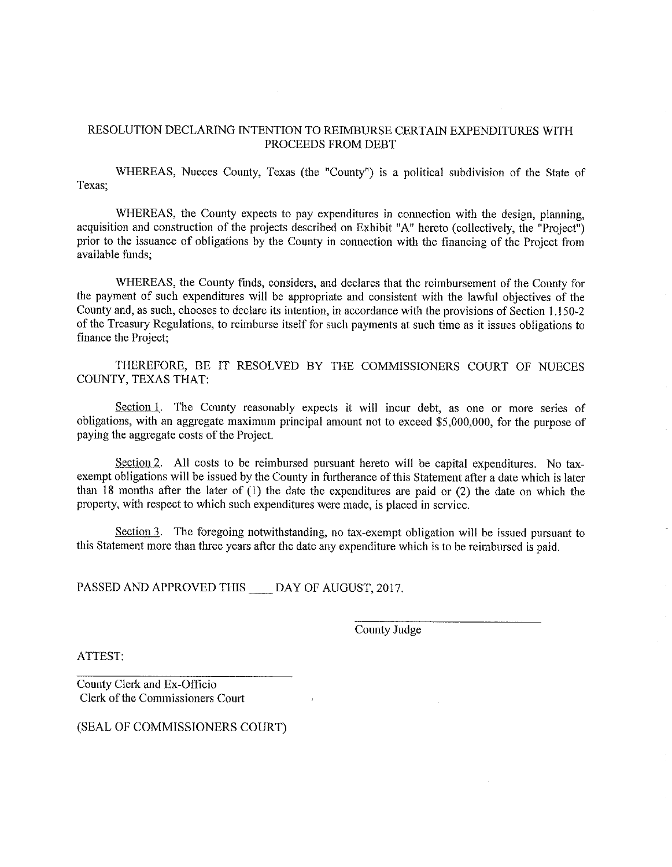## RESOLUTION DECLARING INTENTION TO REIMBURSE CERTAIN EXPENDITURES WITH PROCEEDS FROM DEBT

WHEREAS, Nueces County, Texas (the "County") is a political subdivision of the State of Texas;

WHEREAS, the County expects to pay expenditures in connection with the design, planning, acquisition and construction of the projects described on Exhibit "A" hereto (collectively, the "Project") prior to the issuance of obligations by the County in connection with the financing of the Project from available funds;

WHEREAS, the County finds, considers, and declares that the reimbursement of the County for the payment of such expenditures will be appropriate and consistent with the lawful objectives of the County and, as such, chooses to declare its intention, in accordance with the provisions of Section 1.150-2 of the Treasury Regulations, to reimburse itself for such payments at such time as it issues obligations to finance the Project;

THEREFORE, BE IT RESOLVED BY THE COMMISSIONERS COURT OF NUECES COUNTY. TEXAS THAT:

Section 1. The County reasonably expects it will incur debt, as one or more series of obligations, with an aggregate maximum principal amount not to exceed \$5,000,000, for the purpose of paying the aggregate costs of the Project.

Section 2. All costs to be reimbursed pursuant hereto will be capital expenditures. No taxexempt obligations will be issued by the County in furtherance of this Statement after a date which is later than 18 months after the later of (1) the date the expenditures are paid or (2) the date on which the property, with respect to which such expenditures were made, is placed in service.

Section 3. The foregoing notwithstanding, no tax-exempt obligation will be issued pursuant to this Statement more than three years after the date any expenditure which is to be reimbursed is paid.

PASSED AND APPROVED THIS DAY OF AUGUST, 2017.

County Judge

ATTEST:

County Clerk and Ex-Officio Clerk of the Commissioners Court

(SEAL OF COMMISSIONERS COURT)